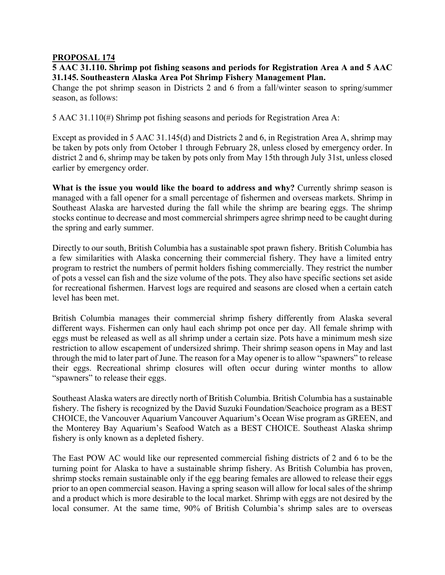## **PROPOSAL 174**

## **5 AAC 31.110. Shrimp pot fishing seasons and periods for Registration Area A and 5 AAC 31.145. Southeastern Alaska Area Pot Shrimp Fishery Management Plan.**

Change the pot shrimp season in Districts 2 and 6 from a fall/winter season to spring/summer season, as follows:

5 AAC 31.110(#) Shrimp pot fishing seasons and periods for Registration Area A:

Except as provided in 5 AAC 31.145(d) and Districts 2 and 6, in Registration Area A, shrimp may be taken by pots only from October 1 through February 28, unless closed by emergency order. In district 2 and 6, shrimp may be taken by pots only from May 15th through July 31st, unless closed earlier by emergency order.

What is the issue you would like the board to address and why? Currently shrimp season is managed with a fall opener for a small percentage of fishermen and overseas markets. Shrimp in Southeast Alaska are harvested during the fall while the shrimp are bearing eggs. The shrimp stocks continue to decrease and most commercial shrimpers agree shrimp need to be caught during the spring and early summer.

Directly to our south, British Columbia has a sustainable spot prawn fishery. British Columbia has a few similarities with Alaska concerning their commercial fishery. They have a limited entry program to restrict the numbers of permit holders fishing commercially. They restrict the number of pots a vessel can fish and the size volume of the pots. They also have specific sections set aside for recreational fishermen. Harvest logs are required and seasons are closed when a certain catch level has been met.

British Columbia manages their commercial shrimp fishery differently from Alaska several different ways. Fishermen can only haul each shrimp pot once per day. All female shrimp with eggs must be released as well as all shrimp under a certain size. Pots have a minimum mesh size restriction to allow escapement of undersized shrimp. Their shrimp season opens in May and last through the mid to later part of June. The reason for a May opener is to allow "spawners" to release their eggs. Recreational shrimp closures will often occur during winter months to allow "spawners" to release their eggs.

Southeast Alaska waters are directly north of British Columbia. British Columbia has a sustainable fishery. The fishery is recognized by the David Suzuki Foundation/Seachoice program as a BEST CHOICE, the Vancouver Aquarium Vancouver Aquarium's Ocean Wise program as GREEN, and the Monterey Bay Aquarium's Seafood Watch as a BEST CHOICE. Southeast Alaska shrimp fishery is only known as a depleted fishery.

The East POW AC would like our represented commercial fishing districts of 2 and 6 to be the turning point for Alaska to have a sustainable shrimp fishery. As British Columbia has proven, shrimp stocks remain sustainable only if the egg bearing females are allowed to release their eggs prior to an open commercial season. Having a spring season will allow for local sales of the shrimp and a product which is more desirable to the local market. Shrimp with eggs are not desired by the local consumer. At the same time, 90% of British Columbia's shrimp sales are to overseas